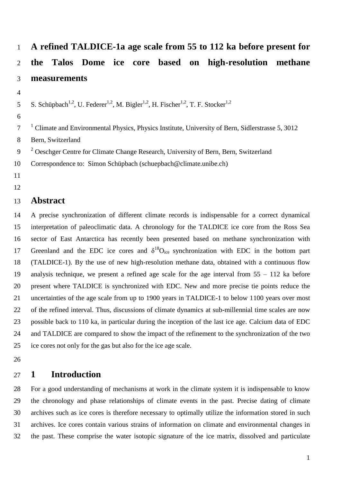# **A refined TALDICE-1a age scale from 55 to 112 ka before present for the Talos Dome ice core based on high-resolution methane measurements**

5 S. Schüpbach<sup>1,2</sup>, U. Federer<sup>1,2</sup>, M. Bigler<sup>1,2</sup>, H. Fischer<sup>1,2</sup>, T. F. Stocker<sup>1,2</sup>

#### 

<sup>1</sup> Climate and Environmental Physics, Physics Institute, University of Bern, Sidlerstrasse 5, 3012

Bern, Switzerland

<sup>2</sup> Oeschger Centre for Climate Change Research, University of Bern, Bern, Switzerland

Correspondence to: Simon Schüpbach (schuepbach@climate.unibe.ch)

- 
- 

# **Abstract**

 A precise synchronization of different climate records is indispensable for a correct dynamical interpretation of paleoclimatic data. A chronology for the TALDICE ice core from the Ross Sea sector of East Antarctica has recently been presented based on methane synchronization with 17 Greenland and the EDC ice cores and  $\delta^{18}O_{ice}$  synchronization with EDC in the bottom part (TALDICE-1). By the use of new high-resolution methane data, obtained with a continuous flow analysis technique, we present a refined age scale for the age interval from 55 – 112 ka before present where TALDICE is synchronized with EDC. New and more precise tie points reduce the uncertainties of the age scale from up to 1900 years in TALDICE-1 to below 1100 years over most of the refined interval. Thus, discussions of climate dynamics at sub-millennial time scales are now possible back to 110 ka, in particular during the inception of the last ice age. Calcium data of EDC and TALDICE are compared to show the impact of the refinement to the synchronization of the two ice cores not only for the gas but also for the ice age scale.

# **1 Introduction**

 For a good understanding of mechanisms at work in the climate system it is indispensable to know the chronology and phase relationships of climate events in the past. Precise dating of climate archives such as ice cores is therefore necessary to optimally utilize the information stored in such archives. Ice cores contain various strains of information on climate and environmental changes in the past. These comprise the water isotopic signature of the ice matrix, dissolved and particulate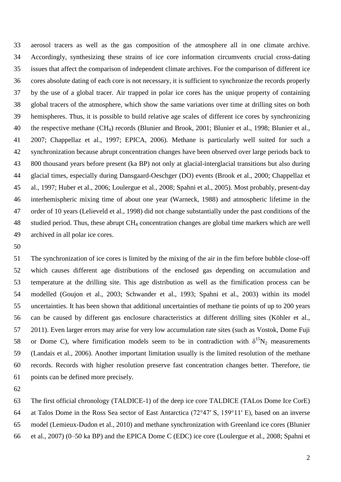aerosol tracers as well as the gas composition of the atmosphere all in one climate archive. Accordingly, synthesizing these strains of ice core information circumvents crucial cross-dating issues that affect the comparison of independent climate archives. For the comparison of different ice cores absolute dating of each core is not necessary, it is sufficient to synchronize the records properly by the use of a global tracer. Air trapped in polar ice cores has the unique property of containing global tracers of the atmosphere, which show the same variations over time at drilling sites on both hemispheres. Thus, it is possible to build relative age scales of different ice cores by synchronizing the respective methane (CH4) records [\(Blunier and Brook, 2001;](#page-8-0) [Blunier et al., 1998;](#page-8-1) [Blunier et al.,](#page-8-2)  [2007;](#page-8-2) [Chappellaz et al., 1997;](#page-8-3) [EPICA, 2006\)](#page-9-0). Methane is particularly well suited for such a synchronization because abrupt concentration changes have been observed over large periods back to 800 thousand years before present (ka BP) not only at glacial-interglacial transitions but also during glacial times, especially during Dansgaard-Oeschger (DO) events [\(Brook et al., 2000;](#page-8-4) [Chappellaz et](#page-8-3)  [al., 1997;](#page-8-3) [Huber et al., 2006;](#page-9-1) [Loulergue et al., 2008;](#page-9-2) [Spahni et al., 2005\)](#page-10-0). Most probably, present-day interhemispheric mixing time of about one year [\(Warneck, 1988\)](#page-10-1) and atmospheric lifetime in the order of 10 years [\(Lelieveld et al., 1998\)](#page-9-3) did not change substantially under the past conditions of the studied period. Thus, these abrupt CH<sup>4</sup> concentration changes are global time markers which are well archived in all polar ice cores.

 The synchronization of ice cores is limited by the mixing of the air in the firn before bubble close-off which causes different age distributions of the enclosed gas depending on accumulation and temperature at the drilling site. This age distribution as well as the firnification process can be modelled [\(Goujon et al., 2003;](#page-9-4) [Schwander et al., 1993;](#page-10-2) [Spahni et al., 2003\)](#page-10-3) within its model uncertainties. It has been shown that additional uncertainties of methane tie points of up to 200 years can be caused by different gas enclosure characteristics at different drilling sites [\(Köhler et al.,](#page-9-5)  [2011\)](#page-9-5). Even larger errors may arise for very low accumulation rate sites (such as Vostok, Dome Fuji 58 or Dome C), where firmification models seem to be in contradiction with  $\delta^{15}N_2$  measurements [\(Landais et al., 2006\)](#page-9-6). Another important limitation usually is the limited resolution of the methane records. Records with higher resolution preserve fast concentration changes better. Therefore, tie points can be defined more precisely.

 The first official chronology (TALDICE-1) of the deep ice core TALDICE (TALos Dome Ice CorE) at Talos Dome in the Ross Sea sector of East Antarctica (72°47′ S, 159°11′ E), based on an inverse model [\(Lemieux-Dudon et al., 2010\)](#page-9-7) and methane synchronization with Greenland ice cores [\(Blunier](#page-8-2)  [et al., 2007\)](#page-8-2) (0–50 ka BP) and the EPICA Dome C (EDC) ice core [\(Loulergue et al., 2008;](#page-9-2) [Spahni et](#page-10-0)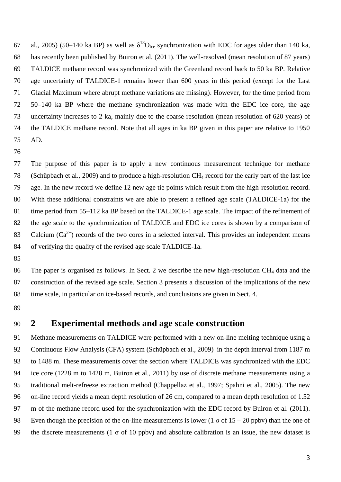[al., 2005\)](#page-10-0) (50–140 ka BP) as well as  $\delta^{18}O_{ice}$  synchronization with EDC for ages older than 140 ka, has recently been published by Buiron et al. [\(2011\)](#page-8-5). The well-resolved (mean resolution of 87 years) TALDICE methane record was synchronized with the Greenland record back to 50 ka BP. Relative age uncertainty of TALDICE-1 remains lower than 600 years in this period (except for the Last Glacial Maximum where abrupt methane variations are missing). However, for the time period from 50–140 ka BP where the methane synchronization was made with the EDC ice core, the age uncertainty increases to 2 ka, mainly due to the coarse resolution (mean resolution of 620 years) of the TALDICE methane record. Note that all ages in ka BP given in this paper are relative to 1950 AD.

 The purpose of this paper is to apply a new continuous measurement technique for methane [\(Schüpbach et al., 2009\)](#page-10-4) and to produce a high-resolution CH<sup>4</sup> record for the early part of the last ice age. In the new record we define 12 new age tie points which result from the high-resolution record. With these additional constraints we are able to present a refined age scale (TALDICE-1a) for the time period from 55–112 ka BP based on the TALDICE-1 age scale. The impact of the refinement of the age scale to the synchronization of TALDICE and EDC ice cores is shown by a comparison of 83 Calcium  $(Ca^{2+})$  records of the two cores in a selected interval. This provides an independent means of verifying the quality of the revised age scale TALDICE-1a.

86 The paper is organised as follows. In Sect. 2 we describe the new high-resolution CH<sub>4</sub> data and the construction of the revised age scale. Section 3 presents a discussion of the implications of the new time scale, in particular on ice-based records, and conclusions are given in Sect. 4.

#### **2 Experimental methods and age scale construction**

 Methane measurements on TALDICE were performed with a new on-line melting technique using a Continuous Flow Analysis (CFA) system [\(Schüpbach et al., 2009\)](#page-10-4) in the depth interval from 1187 m to 1488 m. These measurements cover the section where TALDICE was synchronized with the EDC ice core (1228 m to 1428 m, Buiron et al., 2011) by use of discrete methane measurements using a traditional melt-refreeze extraction method [\(Chappellaz et al., 1997;](#page-8-3) [Spahni et al., 2005\)](#page-10-0). The new on-line record yields a mean depth resolution of 26 cm, compared to a mean depth resolution of 1.52 m of the methane record used for the synchronization with the EDC record by Buiron et al. [\(2011\)](#page-8-5). 98 Even though the precision of the on-line measurements is lower (1  $\sigma$  of 15 – 20 ppbv) than the one of 99 the discrete measurements (1  $\sigma$  of 10 ppbv) and absolute calibration is an issue, the new dataset is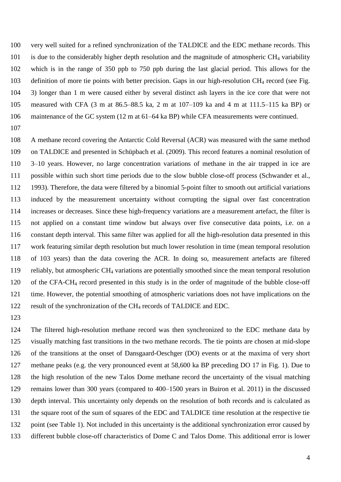very well suited for a refined synchronization of the TALDICE and the EDC methane records. This is due to the considerably higher depth resolution and the magnitude of atmospheric CH<sup>4</sup> variability which is in the range of 350 ppb to 750 ppb during the last glacial period. This allows for the 103 definition of more tie points with better precision. Gaps in our high-resolution CH<sub>4</sub> record (see Fig. 3) longer than 1 m were caused either by several distinct ash layers in the ice core that were not measured with CFA (3 m at 86.5–88.5 ka, 2 m at 107–109 ka and 4 m at 111.5–115 ka BP) or maintenance of the GC system (12 m at 61–64 ka BP) while CFA measurements were continued.

 A methane record covering the Antarctic Cold Reversal (ACR) was measured with the same method on TALDICE and presented in Schüpbach et al. [\(2009\)](#page-10-4). This record features a nominal resolution of 3–10 years. However, no large concentration variations of methane in the air trapped in ice are possible within such short time periods due to the slow bubble close-off process [\(Schwander et al.,](#page-10-2)  [1993\)](#page-10-2). Therefore, the data were filtered by a binomial 5-point filter to smooth out artificial variations induced by the measurement uncertainty without corrupting the signal over fast concentration increases or decreases. Since these high-frequency variations are a measurement artefact, the filter is not applied on a constant time window but always over five consecutive data points, i.e. on a constant depth interval. This same filter was applied for all the high-resolution data presented in this work featuring similar depth resolution but much lower resolution in time (mean temporal resolution of 103 years) than the data covering the ACR. In doing so, measurement artefacts are filtered 119 reliably, but atmospheric  $CH_4$  variations are potentially smoothed since the mean temporal resolution of the CFA-CH<sup>4</sup> record presented in this study is in the order of magnitude of the bubble close-off time. However, the potential smoothing of atmospheric variations does not have implications on the result of the synchronization of the CH<sup>4</sup> records of TALDICE and EDC.

 The filtered high-resolution methane record was then synchronized to the EDC methane data by visually matching fast transitions in the two methane records. The tie points are chosen at mid-slope of the transitions at the onset of Dansgaard-Oeschger (DO) events or at the maxima of very short methane peaks (e.g. the very pronounced event at 58,600 ka BP preceding DO 17 in Fig. 1). Due to the high resolution of the new Talos Dome methane record the uncertainty of the visual matching remains lower than 300 years (compared to 400–1500 years in Buiron et al. 2011) in the discussed depth interval. This uncertainty only depends on the resolution of both records and is calculated as the square root of the sum of squares of the EDC and TALDICE time resolution at the respective tie 132 point (see Table 1). Not included in this uncertainty is the additional synchronization error caused by different bubble close-off characteristics of Dome C and Talos Dome. This additional error is lower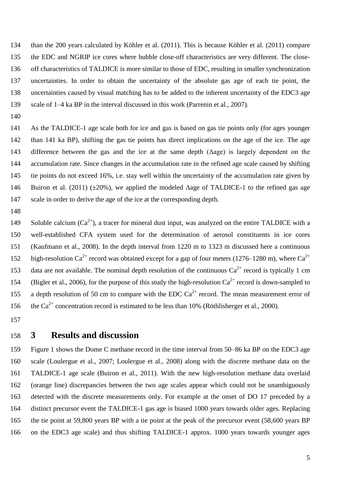than the 200 years calculated by Köhler et al. [\(2011\)](#page-9-5). This is because Köhler et al. [\(2011\)](#page-9-5) compare the EDC and NGRIP ice cores where bubble close-off characteristics are very different. The close- off characteristics of TALDICE is more similar to those of EDC, resulting in smaller synchronization uncertainties. In order to obtain the uncertainty of the absolute gas age of each tie point, the uncertainties caused by visual matching has to be added to the inherent uncertainty of the EDC3 age scale of 1–4 ka BP in the interval discussed in this work [\(Parrenin et al., 2007\)](#page-9-8).

 As the TALDICE-1 age scale both for ice and gas is based on gas tie points only (for ages younger than 141 ka BP), shifting the gas tie points has direct implications on the age of the ice. The age difference between the gas and the ice at the same depth (Δage) is largely dependent on the accumulation rate. Since changes in the accumulation rate in the refined age scale caused by shifting tie points do not exceed 16%, i.e. stay well within the uncertainty of the accumulation rate given by 146 Buiron et al. [\(2011\)](#page-8-5) ( $\pm 20\%$ ), we applied the modeled  $\Delta$ age of TALDICE-1 to the refined gas age scale in order to derive the age of the ice at the corresponding depth.

149 Soluble calcium  $(Ca^{2+})$ , a tracer for mineral dust input, was analyzed on the entire TALDICE with a well-established CFA system used for the determination of aerosol constituents in ice cores [\(Kaufmann et al., 2008\)](#page-9-9). In the depth interval from 1220 m to 1323 m discussed here a continuous 152 high-resolution Ca<sup>2+</sup> record was obtained except for a gap of four meters (1276–1280 m), where Ca<sup>2+</sup> 153 data are not available. The nominal depth resolution of the continuous  $Ca^{2+}$  record is typically 1 cm 154 [\(Bigler et al., 2006\)](#page-8-6), for the purpose of this study the high-resolution  $Ca^{2+}$  record is down-sampled to 155 a depth resolution of 50 cm to compare with the EDC  $Ca^{2+}$  record. The mean measurement error of 156 the Ca<sup>2+</sup> concentration record is estimated to be less than 10% [\(Röthlisberger et al., 2000\)](#page-10-5).

#### **3 Results and discussion**

 Figure 1 shows the Dome C methane record in the time interval from 50–86 ka BP on the EDC3 age scale [\(Loulergue et al., 2007;](#page-9-10) [Loulergue et al., 2008\)](#page-9-2) along with the discrete methane data on the TALDICE-1 age scale [\(Buiron et al., 2011\)](#page-8-5). With the new high-resolution methane data overlaid (orange line) discrepancies between the two age scales appear which could not be unambiguously detected with the discrete measurements only. For example at the onset of DO 17 preceded by a distinct precursor event the TALDICE-1 gas age is biased 1000 years towards older ages. Replacing the tie point at 59,800 years BP with a tie point at the peak of the precursor event (58,600 years BP on the EDC3 age scale) and thus shifting TALDICE-1 approx. 1000 years towards younger ages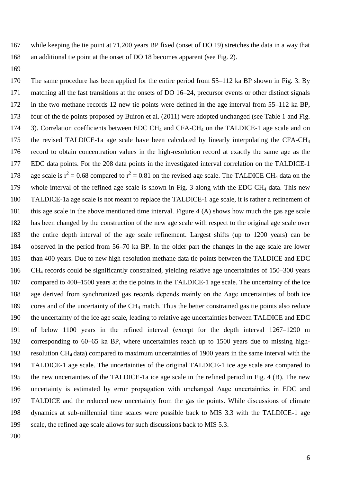while keeping the tie point at 71,200 years BP fixed (onset of DO 19) stretches the data in a way that an additional tie point at the onset of DO 18 becomes apparent (see Fig. 2).

 The same procedure has been applied for the entire period from 55–112 ka BP shown in Fig. 3. By matching all the fast transitions at the onsets of DO 16–24, precursor events or other distinct signals in the two methane records 12 new tie points were defined in the age interval from 55–112 ka BP, four of the tie points proposed by Buiron et al. [\(2011\)](#page-8-5) were adopted unchanged (see Table 1 and Fig. 174 3). Correlation coefficients between EDC CH<sub>4</sub> and CFA-CH<sub>4</sub> on the TALDICE-1 age scale and on the revised TALDICE-1a age scale have been calculated by linearly interpolating the CFA-CH<sup>4</sup> record to obtain concentration values in the high-resolution record at exactly the same age as the EDC data points. For the 208 data points in the investigated interval correlation on the TALDICE-1 178 age scale is  $r^2 = 0.68$  compared to  $r^2 = 0.81$  on the revised age scale. The TALDICE CH<sub>4</sub> data on the 179 whole interval of the refined age scale is shown in Fig. 3 along with the EDC CH<sub>4</sub> data. This new TALDICE-1a age scale is not meant to replace the TALDICE-1 age scale, it is rather a refinement of this age scale in the above mentioned time interval. Figure 4 (A) shows how much the gas age scale has been changed by the construction of the new age scale with respect to the original age scale over the entire depth interval of the age scale refinement. Largest shifts (up to 1200 years) can be observed in the period from 56–70 ka BP. In the older part the changes in the age scale are lower than 400 years. Due to new high-resolution methane data tie points between the TALDICE and EDC CH<sup>4</sup> records could be significantly constrained, yielding relative age uncertainties of 150–300 years compared to 400–1500 years at the tie points in the TALDICE-1 age scale. The uncertainty of the ice age derived from synchronized gas records depends mainly on the Δage uncertainties of both ice cores and of the uncertainty of the CH<sup>4</sup> match. Thus the better constrained gas tie points also reduce the uncertainty of the ice age scale, leading to relative age uncertainties between TALDICE and EDC of below 1100 years in the refined interval (except for the depth interval 1267–1290 m corresponding to 60–65 ka BP, where uncertainties reach up to 1500 years due to missing high- resolution CH<sup>4</sup> data) compared to maximum uncertainties of 1900 years in the same interval with the TALDICE-1 age scale. The uncertainties of the original TALDICE-1 ice age scale are compared to the new uncertainties of the TALDICE-1a ice age scale in the refined period in Fig. 4 (B). The new uncertainty is estimated by error propagation with unchanged Δage uncertainties in EDC and TALDICE and the reduced new uncertainty from the gas tie points. While discussions of climate dynamics at sub-millennial time scales were possible back to MIS 3.3 with the TALDICE-1 age scale, the refined age scale allows for such discussions back to MIS 5.3.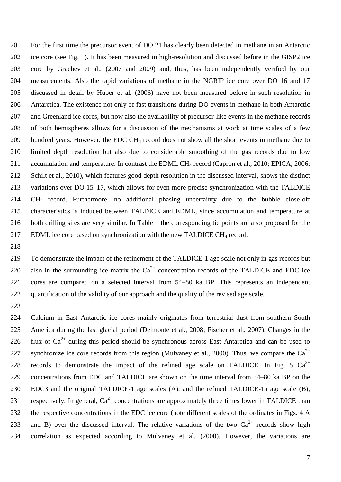For the first time the precursor event of DO 21 has clearly been detected in methane in an Antarctic ice core (see Fig. 1). It has been measured in high-resolution and discussed before in the GISP2 ice core by Grachev et al., (2007 and 2009) and, thus, has been independently verified by our measurements. Also the rapid variations of methane in the NGRIP ice core over DO 16 and 17 discussed in detail by Huber et al. [\(2006\)](#page-9-1) have not been measured before in such resolution in Antarctica. The existence not only of fast transitions during DO events in methane in both Antarctic 207 and Greenland ice cores, but now also the availability of precursor-like events in the methane records of both hemispheres allows for a discussion of the mechanisms at work at time scales of a few hundred years. However, the EDC CH<sup>4</sup> record does not show all the short events in methane due to limited depth resolution but also due to considerable smoothing of the gas records due to low 211 accumulation and temperature. In contrast the EDML CH<sub>4</sub> record [\(Capron et al., 2010;](#page-8-7) [EPICA, 2006;](#page-9-0) [Schilt et al., 2010\)](#page-10-6), which features good depth resolution in the discussed interval, shows the distinct variations over DO 15–17, which allows for even more precise synchronization with the TALDICE CH<sup>4</sup> record. Furthermore, no additional phasing uncertainty due to the bubble close-off characteristics is induced between TALDICE and EDML, since accumulation and temperature at both drilling sites are very similar. In Table 1 the corresponding tie points are also proposed for the 217 EDML ice core based on synchronization with the new TALDICE CH<sub>4</sub> record.

 To demonstrate the impact of the refinement of the TALDICE-1 age scale not only in gas records but 220 also in the surrounding ice matrix the  $Ca^{2+}$  concentration records of the TALDICE and EDC ice cores are compared on a selected interval from 54–80 ka BP. This represents an independent quantification of the validity of our approach and the quality of the revised age scale.

 Calcium in East Antarctic ice cores mainly originates from terrestrial dust from southern South America during the last glacial period [\(Delmonte et al., 2008;](#page-8-8) [Fischer et al., 2007\)](#page-9-11). Changes in the 226 flux of  $Ca^{2+}$  during this period should be synchronous across East Antarctica and can be used to 227 synchronize ice core records from this region [\(Mulvaney et al., 2000\)](#page-9-12). Thus, we compare the  $Ca^{2+}$ 228 records to demonstrate the impact of the refined age scale on TALDICE. In Fig. 5  $Ca^{2+}$  concentrations from EDC and TALDICE are shown on the time interval from 54–80 ka BP on the EDC3 and the original TALDICE-1 age scales (A), and the refined TALDICE-1a age scale (B), 231 respectively. In general,  $Ca^{2+}$  concentrations are approximately three times lower in TALDICE than 232 the respective concentrations in the EDC ice core (note different scales of the ordinates in Figs. 4 A 233 and B) over the discussed interval. The relative variations of the two  $Ca^{2+}$  records show high correlation as expected according to Mulvaney et al. [\(2000\)](#page-9-12). However, the variations are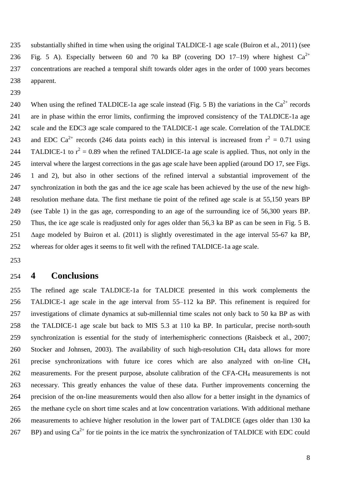substantially shifted in time when using the original TALDICE-1 age scale [\(Buiron et al., 2011\)](#page-8-5) (see 236 Fig. 5 A). Especially between 60 and 70 ka BP (covering DO 17-19) where highest  $Ca^{2+}$  concentrations are reached a temporal shift towards older ages in the order of 1000 years becomes apparent.

240 When using the refined TALDICE-1a age scale instead (Fig. 5 B) the variations in the  $Ca^{2+}$  records are in phase within the error limits, confirming the improved consistency of the TALDICE-1a age scale and the EDC3 age scale compared to the TALDICE-1 age scale. Correlation of the TALDICE 243 and EDC Ca<sup>2+</sup> records (246 data points each) in this interval is increased from  $r^2 = 0.71$  using 244 TALDICE-1 to  $r^2 = 0.89$  when the refined TALDICE-1a age scale is applied. Thus, not only in the interval where the largest corrections in the gas age scale have been applied (around DO 17, see Figs. 1 and 2), but also in other sections of the refined interval a substantial improvement of the synchronization in both the gas and the ice age scale has been achieved by the use of the new high- resolution methane data. The first methane tie point of the refined age scale is at 55,150 years BP (see Table 1) in the gas age, corresponding to an age of the surrounding ice of 56,300 years BP. Thus, the ice age scale is readjusted only for ages older than 56,3 ka BP as can be seen in Fig. 5 B. Δage modeled by Buiron et al. [\(2011\)](#page-8-5) is slightly overestimated in the age interval 55-67 ka BP, whereas for older ages it seems to fit well with the refined TALDICE-1a age scale.

#### **4 Conclusions**

 The refined age scale TALDICE-1a for TALDICE presented in this work complements the TALDICE-1 age scale in the age interval from 55–112 ka BP. This refinement is required for investigations of climate dynamics at sub-millennial time scales not only back to 50 ka BP as with the TALDICE-1 age scale but back to MIS 5.3 at 110 ka BP. In particular, precise north-south synchronization is essential for the study of interhemispheric connections [\(Raisbeck et al., 2007;](#page-10-7) [Stocker and Johnsen, 2003\)](#page-10-8). The availability of such high-resolution CH<sup>4</sup> data allows for more precise synchronizations with future ice cores which are also analyzed with on-line CH<sup>4</sup> 262 measurements. For the present purpose, absolute calibration of the CFA-CH<sub>4</sub> measurements is not necessary. This greatly enhances the value of these data. Further improvements concerning the precision of the on-line measurements would then also allow for a better insight in the dynamics of the methane cycle on short time scales and at low concentration variations. With additional methane measurements to achieve higher resolution in the lower part of TALDICE (ages older than 130 ka 267 BP) and using  $Ca^{2+}$  for tie points in the ice matrix the synchronization of TALDICE with EDC could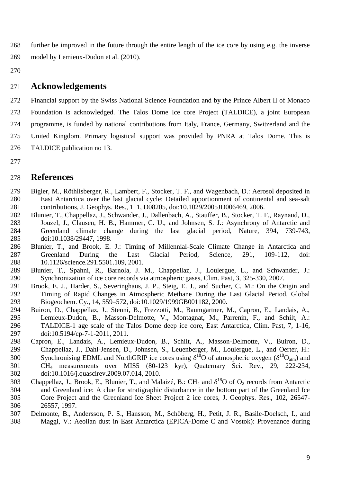further be improved in the future through the entire length of the ice core by using e.g. the inverse 269 model by Lemieux-Dudon et al. [\(2010\)](#page-9-7).

### **Acknowledgements**

 Financial support by the Swiss National Science Foundation and by the Prince Albert II of Monaco Foundation is acknowledged. The Talos Dome Ice core Project (TALDICE), a joint European programme, is funded by national contributions from Italy, France, Germany, Switzerland and the United Kingdom. Primary logistical support was provided by PNRA at Talos Dome. This is TALDICE publication no 13.

## **References**

- <span id="page-8-6"></span> Bigler, M., Röthlisberger, R., Lambert, F., Stocker, T. F., and Wagenbach, D.: Aerosol deposited in East Antarctica over the last glacial cycle: Detailed apportionment of continental and sea-salt contributions, J. Geophys. Res., 111, D08205, doi:10.1029/2005JD006469, 2006.
- <span id="page-8-1"></span> Blunier, T., Chappellaz, J., Schwander, J., Dallenbach, A., Stauffer, B., Stocker, T. F., Raynaud, D., Jouzel, J., Clausen, H. B., Hammer, C. U., and Johnsen, S. J.: Asynchrony of Antarctic and Greenland climate change during the last glacial period, Nature, 394, 739-743, doi:10.1038/29447, 1998.
- <span id="page-8-0"></span> Blunier, T., and Brook, E. J.: Timing of Millennial-Scale Climate Change in Antarctica and Greenland During the Last Glacial Period, Science, 291, 109-112, doi: 10.1126/science.291.5501.109, 2001.
- <span id="page-8-2"></span> Blunier, T., Spahni, R., Barnola, J. M., Chappellaz, J., Loulergue, L., and Schwander, J.: Synchronization of ice core records via atmospheric gases, Clim. Past, 3, 325-330, 2007.
- <span id="page-8-4"></span> Brook, E. J., Harder, S., Severinghaus, J. P., Steig, E. J., and Sucher, C. M.: On the Origin and Timing of Rapid Changes in Atmospheric Methane During the Last Glacial Period, Global Biogeochem. Cy., 14, 559–572, doi:10.1029/1999GB001182, 2000.
- <span id="page-8-5"></span> Buiron, D., Chappellaz, J., Stenni, B., Frezzotti, M., Baumgartner, M., Capron, E., Landais, A., Lemieux-Dudon, B., Masson-Delmotte, V., Montagnat, M., Parrenin, F., and Schilt, A.: TALDICE-1 age scale of the Talos Dome deep ice core, East Antarctica, Clim. Past, 7, 1-16, doi:10.5194/cp-7-1-2011, 2011.
- <span id="page-8-7"></span> Capron, E., Landais, A., Lemieux-Dudon, B., Schilt, A., Masson-Delmotte, V., Buiron, D., Chappellaz, J., Dahl-Jensen, D., Johnsen, S., Leuenberger, M., Loulergue, L., and Oerter, H.: 300 Synchronising EDML and NorthGRIP ice cores using  $\delta^{18}O$  of atmospheric oxygen ( $\delta^{18}O_{atm}$ ) and CH<sup>4</sup> measurements over MIS5 (80-123 kyr), Quaternary Sci. Rev., 29, 222-234, doi:10.1016/j.quascirev.2009.07.014, 2010.
- <span id="page-8-3"></span>303 Chappellaz, J., Brook, E., Blunier, T., and Malaizé, B.: CH<sub>4</sub> and  $\delta^{18}O$  of  $O_2$  records from Antarctic and Greenland ice: A clue for stratigraphic disturbance in the bottom part of the Greenland Ice Core Project and the Greenland Ice Sheet Project 2 ice cores, J. Geophys. Res., 102, 26547- 26557, 1997.
- <span id="page-8-8"></span> Delmonte, B., Andersson, P. S., Hansson, M., Schöberg, H., Petit, J. R., Basile-Doelsch, I., and Maggi, V.: Aeolian dust in East Antarctica (EPICA-Dome C and Vostok): Provenance during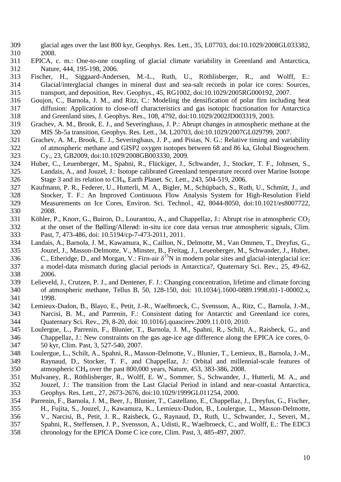- glacial ages over the last 800 kyr, Geophys. Res. Lett., 35, L07703, doi:10.1029/2008GL033382, 2008.
- <span id="page-9-0"></span> EPICA, c. m.: One-to-one coupling of glacial climate variability in Greenland and Antarctica, Nature, 444, 195-198, 2006.
- <span id="page-9-11"></span> Fischer, H., Siggaard-Andersen, M.-L., Ruth, U., Röthlisberger, R., and Wolff, E.: Glacial/interglacial changes in mineral dust and sea-salt records in polar ice cores: Sources, transport, and deposition, Rev. Geophys., 45, RG1002, doi:10.1029/2005RG000192, 2007.
- <span id="page-9-4"></span> Goujon, C., Barnola, J. M., and Ritz, C.: Modeling the densification of polar firn including heat diffusion: Application to close-off characteristics and gas isotopic fractionation for Antarctica and Greenland sites, J. Geophys. Res., 108, 4792, doi:10.1029/2002JD003319, 2003.
- Grachev, A. M., Brook, E. J., and Severinghaus, J. P.: Abrupt changes in atmospheric methane at the MIS 5b-5a transition, Geophys. Res. Lett., 34, L20703, doi:10.1029/2007GL029799, 2007.
- Grachev, A. M., Brook, E. J., Severinghaus, J. P., and Pisias, N. G.: Relative timing and variability of atmospheric methane and GISP2 oxygen isotopes between 68 and 86 ka, Global Biogeochem. Cy., 23, GB2009, doi:10.1029/2008GB003330, 2009.
- <span id="page-9-1"></span> Huber, C., Leuenberger, M., Spahni, R., Flückiger, J., Schwander, J., Stocker, T. F., Johnsen, S., Landais, A., and Jouzel, J.: Isotope calibrated Greenland temperature record over Marine Isotope Stage 3 and its relation to CH4, Earth Planet. Sc. Lett., 243, 504-519, 2006.
- <span id="page-9-9"></span> Kaufmann, P. R., Federer, U., Hutterli, M. A., Bigler, M., Schüpbach, S., Ruth, U., Schmitt, J., and Stocker, T. F.: An Improved Continuous Flow Analysis System for High-Resolution Field Measurements on Ice Cores, Environ. Sci. Technol., 42, 8044-8050, doi:10.1021/es8007722, 2008.
- <span id="page-9-5"></span>331 Köhler, P., Knorr, G., Buiron, D., Lourantou, A., and Chappellaz, J.: Abrupt rise in atmospheric  $CO<sub>2</sub>$  at the onset of the Bølling/Allerød: in-situ ice core data versus true atmospheric signals, Clim. Past, 7, 473-486, doi: 10.5194/cp-7-473-2011, 2011.
- <span id="page-9-6"></span> Landais, A., Barnola, J. M., Kawamura, K., Caillon, N., Delmotte, M., Van Ommen, T., Dreyfus, G., Jouzel, J., Masson-Delmotte, V., Minster, B., Freitag, J., Leuenberger, M., Schwander, J., Huber, 336 C., Etheridge, D., and Morgan, V.: Firn-air  $\delta^{15}N$  in modern polar sites and glacial-interglacial ice: a model-data mismatch during glacial periods in Antarctica?, Quaternary Sci. Rev., 25, 49-62, 2006.
- <span id="page-9-3"></span> Lelieveld, J., Crutzen, P. J., and Dentener, F. J.: Changing concentration, lifetime and climate forcing of atmospheric methane, Tellus B, 50, 128-150, doi: 10.1034/j.1600-0889.1998.t01-1-00002.x, 1998.
- <span id="page-9-7"></span> Lemieux-Dudon, B., Blayo, E., Petit, J.-R., Waelbroeck, C., Svensson, A., Ritz, C., Barnola, J.-M., Narcisi, B. M., and Parrenin, F.: Consistent dating for Antarctic and Greenland ice cores, Quaternary Sci. Rev., 29, 8-20, doi: 10.1016/j.quascirev.2009.11.010, 2010.
- <span id="page-9-10"></span> Loulergue, L., Parrenin, F., Blunier, T., Barnola, J. M., Spahni, R., Schilt, A., Raisbeck, G., and Chappellaz, J.: New constraints on the gas age-ice age difference along the EPICA ice cores, 0- 50 kyr, Clim. Past, 3, 527-540, 2007.
- <span id="page-9-2"></span> Loulergue, L., Schilt, A., Spahni, R., Masson-Delmotte, V., Blunier, T., Lemieux, B., Barnola, J.-M., Raynaud, D., Stocker, T. F., and Chappellaz, J.: Orbital and millennial-scale features of atmospheric CH<sup>4</sup> over the past 800,000 years, Nature, 453, 383-386, 2008.
- <span id="page-9-12"></span> Mulvaney, R., Röthlisberger, R., Wolff, E. W., Sommer, S., Schwander, J., Hutterli, M. A., and Jouzel, J.: The transition from the Last Glacial Period in inland and near-coastal Antarctica, Geophys. Res. Lett., 27, 2673-2676, doi:10.1029/1999GL011254, 2000.
- <span id="page-9-8"></span> Parrenin, F., Barnola, J. M., Beer, J., Blunier, T., Castellano, E., Chappellaz, J., Dreyfus, G., Fischer, H., Fujita, S., Jouzel, J., Kawamura, K., Lemieux-Dudon, B., Loulergue, L., Masson-Delmotte, V., Narcisi, B., Petit, J. R., Raisbeck, G., Raynaud, D., Ruth, U., Schwander, J., Severi, M., Spahni, R., Steffensen, J. P., Svensson, A., Udisti, R., Waelbroeck, C., and Wolff, E.: The EDC3
- chronology for the EPICA Dome C ice core, Clim. Past, 3, 485-497, 2007.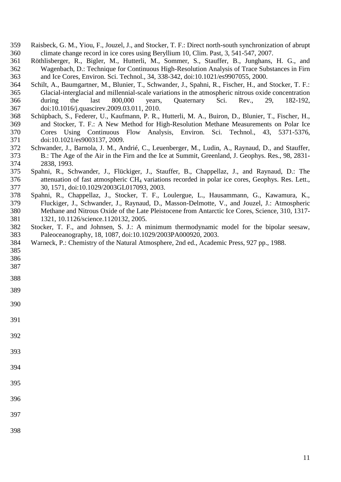- <span id="page-10-7"></span> Raisbeck, G. M., Yiou, F., Jouzel, J., and Stocker, T. F.: Direct north-south synchronization of abrupt climate change record in ice cores using Beryllium 10, Clim. Past, 3, 541-547, 2007.
- <span id="page-10-5"></span> Röthlisberger, R., Bigler, M., Hutterli, M., Sommer, S., Stauffer, B., Junghans, H. G., and Wagenbach, D.: Technique for Continuous High-Resolution Analysis of Trace Substances in Firn and Ice Cores, Environ. Sci. Technol., 34, 338-342, doi:10.1021/es9907055, 2000.
- <span id="page-10-6"></span> Schilt, A., Baumgartner, M., Blunier, T., Schwander, J., Spahni, R., Fischer, H., and Stocker, T. F.: Glacial-interglacial and millennial-scale variations in the atmospheric nitrous oxide concentration during the last 800,000 years, Quaternary Sci. Rev., 29, 182-192, doi:10.1016/j.quascirev.2009.03.011, 2010.
- <span id="page-10-4"></span> Schüpbach, S., Federer, U., Kaufmann, P. R., Hutterli, M. A., Buiron, D., Blunier, T., Fischer, H., and Stocker, T. F.: A New Method for High-Resolution Methane Measurements on Polar Ice Cores Using Continuous Flow Analysis, Environ. Sci. Technol., 43, 5371-5376, doi:10.1021/es9003137, 2009.
- <span id="page-10-2"></span> Schwander, J., Barnola, J. M., Andrié, C., Leuenberger, M., Ludin, A., Raynaud, D., and Stauffer, B.: The Age of the Air in the Firn and the Ice at Summit, Greenland, J. Geophys. Res., 98, 2831- 2838, 1993.
- <span id="page-10-3"></span> Spahni, R., Schwander, J., Flückiger, J., Stauffer, B., Chappellaz, J., and Raynaud, D.: The attenuation of fast atmospheric CH<sup>4</sup> variations recorded in polar ice cores, Geophys. Res. Lett., 30, 1571, doi:10.1029/2003GL017093, 2003.
- <span id="page-10-0"></span> Spahni, R., Chappellaz, J., Stocker, T. F., Loulergue, L., Hausammann, G., Kawamura, K., Fluckiger, J., Schwander, J., Raynaud, D., Masson-Delmotte, V., and Jouzel, J.: Atmospheric Methane and Nitrous Oxide of the Late Pleistocene from Antarctic Ice Cores, Science, 310, 1317- 1321, 10.1126/science.1120132, 2005.
- <span id="page-10-8"></span> Stocker, T. F., and Johnsen, S. J.: A minimum thermodynamic model for the bipolar seesaw, Paleoceanography, 18, 1087, doi:10.1029/2003PA000920, 2003.
- <span id="page-10-1"></span>Warneck, P.: Chemistry of the Natural Atmosphere, 2nd ed., Academic Press, 927 pp., 1988.
- 
- 
- 
- 
- 
- 
- 
- 
- 
- 
- 
- 

- 
- 
-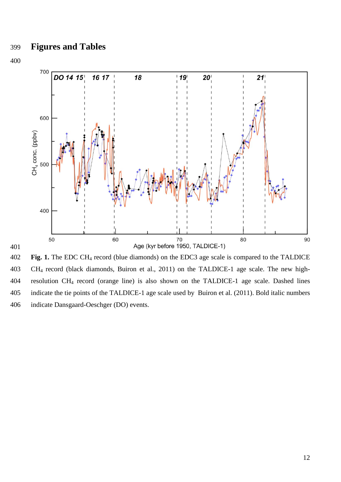

 **Fig. 1.** The EDC CH<sup>4</sup> record (blue diamonds) on the EDC3 age scale is compared to the TALDICE CH<sup>4</sup> record (black diamonds, Buiron et al., 2011) on the TALDICE-1 age scale. The new high- resolution CH<sup>4</sup> record (orange line) is also shown on the TALDICE-1 age scale. Dashed lines indicate the tie points of the TALDICE-1 age scale used by Buiron et al. [\(2011\)](#page-8-5). Bold italic numbers indicate Dansgaard-Oeschger (DO) events.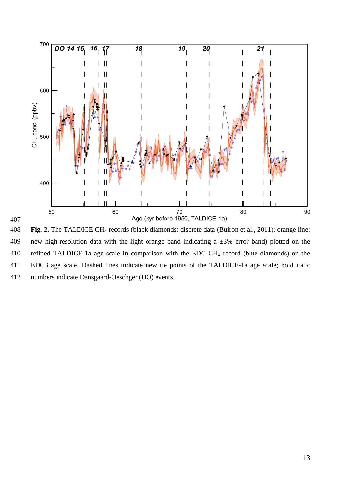

 **Fig. 2.** The TALDICE CH<sup>4</sup> records (black diamonds: discrete data [\(Buiron et al., 2011\)](#page-8-5); orange line: 409 new high-resolution data with the light orange band indicating a  $\pm 3\%$  error band) plotted on the 410 refined TALDICE-1a age scale in comparison with the EDC CH<sub>4</sub> record (blue diamonds) on the EDC3 age scale. Dashed lines indicate new tie points of the TALDICE-1a age scale; bold italic numbers indicate Dansgaard-Oeschger (DO) events.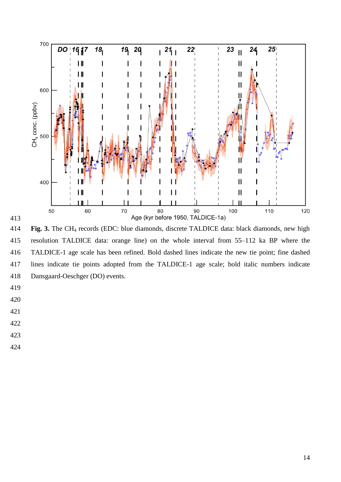

 **Fig. 3.** The CH<sup>4</sup> records (EDC: blue diamonds, discrete TALDICE data: black diamonds, new high resolution TALDICE data: orange line) on the whole interval from 55–112 ka BP where the TALDICE-1 age scale has been refined. Bold dashed lines indicate the new tie point; fine dashed lines indicate tie points adopted from the TALDICE-1 age scale; bold italic numbers indicate Dansgaard-Oeschger (DO) events.

- 
- 
- 
- 
- 
- 
-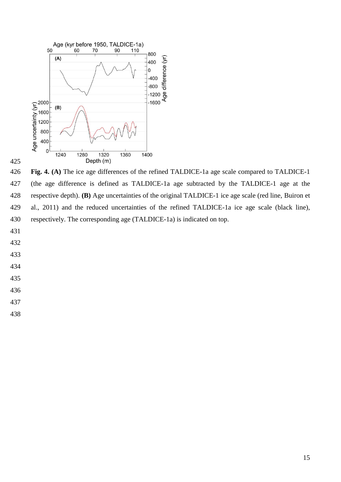

 **Fig. 4. (A)** The ice age differences of the refined TALDICE-1a age scale compared to TALDICE-1 (the age difference is defined as TALDICE-1a age subtracted by the TALDICE-1 age at the respective depth). **(B)** Age uncertainties of the original TALDICE-1 ice age scale (red line, [Buiron et](#page-8-5)  [al., 2011\)](#page-8-5) and the reduced uncertainties of the refined TALDICE-1a ice age scale (black line), respectively. The corresponding age (TALDICE-1a) is indicated on top.

- 
- 
- 
- 
- 
- 
- 
-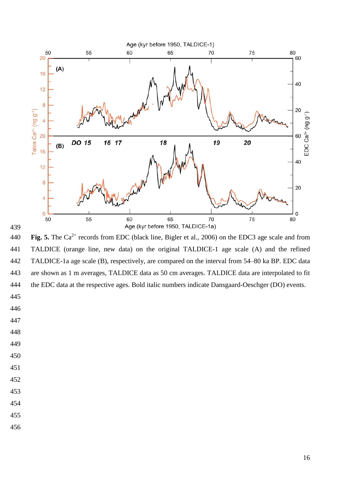

440 **Fig. 5.** The Ca<sup>2+</sup> records from EDC (black line, Bigler et al., 2006) on the EDC3 age scale and from TALDICE (orange line, new data) on the original TALDICE-1 age scale (A) and the refined TALDICE-1a age scale (B), respectively, are compared on the interval from 54–80 ka BP. EDC data are shown as 1 m averages, TALDICE data as 50 cm averages. TALDICE data are interpolated to fit the EDC data at the respective ages. Bold italic numbers indicate Dansgaard-Oeschger (DO) events.

- 
- 
- 
- 
- 
- 
- 
- 
- 
- 
- 
-